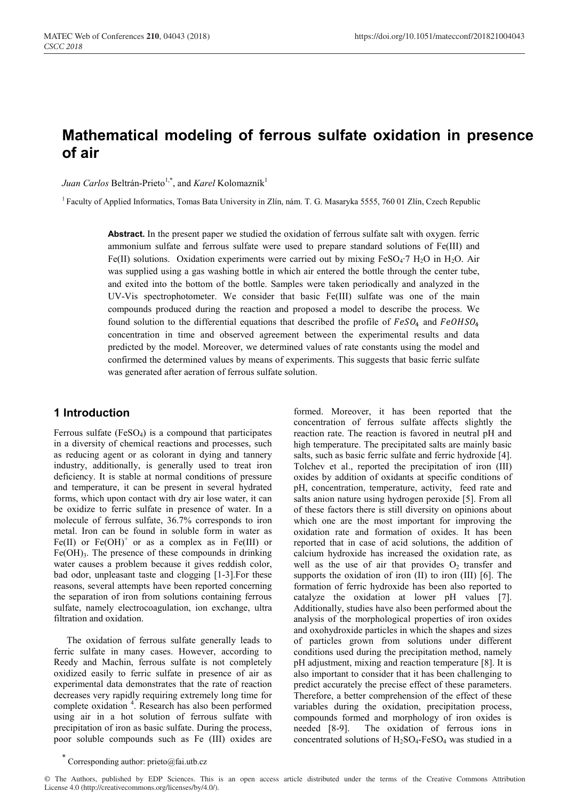# **Mathematical modeling of ferrous sulfate oxidation in presence of air**

*Juan Carlos* Beltrán-Prieto<sup>1,\*</sup>, and *Karel* Kolomazník<sup>1</sup>

<sup>1</sup> Faculty of Applied Informatics, Tomas Bata University in Zlín, nám. T. G. Masaryka 5555, 760 01 Zlín, Czech Republic

**Abstract.** In the present paper we studied the oxidation of ferrous sulfate salt with oxygen. ferric ammonium sulfate and ferrous sulfate were used to prepare standard solutions of Fe(III) and Fe(II) solutions. Oxidation experiments were carried out by mixing FeSO4∙7 H2O in H2O. Air was supplied using a gas washing bottle in which air entered the bottle through the center tube, and exited into the bottom of the bottle. Samples were taken periodically and analyzed in the UV-Vis spectrophotometer. We consider that basic Fe(III) sulfate was one of the main compounds produced during the reaction and proposed a model to describe the process. We found solution to the differential equations that described the profile of  $FeSO<sub>4</sub>$  and  $FeOHSO<sub>4</sub>$ concentration in time and observed agreement between the experimental results and data predicted by the model. Moreover, we determined values of rate constants using the model and confirmed the determined values by means of experiments. This suggests that basic ferric sulfate was generated after aeration of ferrous sulfate solution.

# **1 Introduction**

Ferrous sulfate  $(FeSO<sub>4</sub>)$  is a compound that participates in a diversity of chemical reactions and processes, such as reducing agent or as colorant in dying and tannery industry, additionally, is generally used to treat iron deficiency. It is stable at normal conditions of pressure and temperature, it can be present in several hydrated forms, which upon contact with dry air lose water, it can be oxidize to ferric sulfate in presence of water. In a molecule of ferrous sulfate, 36.7% corresponds to iron metal. Iron can be found in soluble form in water as Fe(II) or  $Fe(OH)^+$  or as a complex as in Fe(III) or  $Fe(OH)_{3}$ . The presence of these compounds in drinking water causes a problem because it gives reddish color, bad odor, unpleasant taste and clogging [1-3].For these reasons, several attempts have been reported concerning the separation of iron from solutions containing ferrous sulfate, namely electrocoagulation, ion exchange, ultra filtration and oxidation.

The oxidation of ferrous sulfate generally leads to ferric sulfate in many cases. However, according to Reedy and Machin, ferrous sulfate is not completely oxidized easily to ferric sulfate in presence of air as experimental data demonstrates that the rate of reaction decreases very rapidly requiring extremely long time for complete oxidation<sup>4</sup>. Research has also been performed using air in a hot solution of ferrous sulfate with precipitation of iron as basic sulfate. During the process, poor soluble compounds such as Fe (III) oxides are

formed. Moreover, it has been reported that the concentration of ferrous sulfate affects slightly the reaction rate. The reaction is favored in neutral pH and high temperature. The precipitated salts are mainly basic salts, such as basic ferric sulfate and ferric hydroxide [4]. Tolchev et al., reported the precipitation of iron (III) oxides by addition of oxidants at specific conditions of pH, concentration, temperature, activity, feed rate and salts anion nature using hydrogen peroxide [5]. From all of these factors there is still diversity on opinions about which one are the most important for improving the oxidation rate and formation of oxides. It has been reported that in case of acid solutions, the addition of calcium hydroxide has increased the oxidation rate, as well as the use of air that provides  $O_2$  transfer and supports the oxidation of iron (II) to iron (III) [6]. The formation of ferric hydroxide has been also reported to catalyze the oxidation at lower pH values [7]. Additionally, studies have also been performed about the analysis of the morphological properties of iron oxides and oxohydroxide particles in which the shapes and sizes of particles grown from solutions under different conditions used during the precipitation method, namely pH adjustment, mixing and reaction temperature [8]. It is also important to consider that it has been challenging to predict accurately the precise effect of these parameters. Therefore, a better comprehension of the effect of these variables during the oxidation, precipitation process, compounds formed and morphology of iron oxides is needed [8-9]. The oxidation of ferrous ions in concentrated solutions of  $H_2SO_4$ -FeSO<sub>4</sub> was studied in a

© The Authors, published by EDP Sciences. This is an open access article distributed under the terms of the Creative Commons Attribution License 4.0 (http://creativecommons.org/licenses/by/4.0/).

Corresponding author:  $price@fai.uth.cz$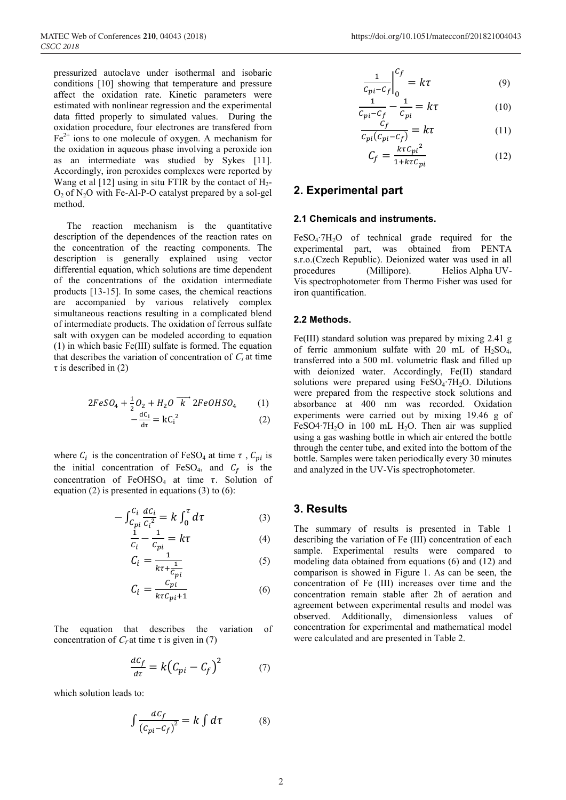pressurized autoclave under isothermal and isobaric conditions [10] showing that temperature and pressure affect the oxidation rate. Kinetic parameters were estimated with nonlinear regression and the experimental data fitted properly to simulated values. During the oxidation procedure, four electrones are transfered from  $Fe<sup>2+</sup>$  ions to one molecule of oxygen. A mechanism for the oxidation in aqueous phase involving a peroxide ion as an intermediate was studied by Sykes [11]. Accordingly, iron peroxides complexes were reported by Wang et al  $[12]$  using in situ FTIR by the contact of  $H_2$ - $O<sub>2</sub>$  of N<sub>2</sub>O with Fe-Al-P-O catalyst prepared by a sol-gel method.

The reaction mechanism is the quantitative description of the dependences of the reaction rates on the concentration of the reacting components. The description is generally explained using vector differential equation, which solutions are time dependent of the concentrations of the oxidation intermediate products [13-15]. In some cases, the chemical reactions are accompanied by various relatively complex simultaneous reactions resulting in a complicated blend of intermediate products. The oxidation of ferrous sulfate salt with oxygen can be modeled according to equation (1) in which basic Fe(III) sulfate is formed. The equation that describes the variation of concentration of  $C_i$  at time  $\tau$  is described in (2)

$$
2FeSO_4 + \frac{1}{2}O_2 + H_2O\ \overrightarrow{k}\ 2FeOHSO_4 \tag{1}
$$

$$
-\frac{dC_i}{d\tau} = kC_i^2\tag{2}
$$

where  $C_i$  is the concentration of FeSO<sub>4</sub> at time  $\tau$ ,  $C_{pi}$  is the initial concentration of FeSO<sub>4</sub>, and  $C_f$  is the concentration of FeOHSO<sub>4</sub> at time  $\tau$ . Solution of equation (2) is presented in equations (3) to  $(6)$ :

$$
-\int_{C_{pi}}^{C_i} \frac{dC_i}{C_i^2} = k \int_0^{\tau} d\tau
$$
 (3)

$$
\frac{1}{c_i} - \frac{1}{c_{pi}} = k\tau
$$
 (4)

$$
C_i = \frac{1}{k\tau + \frac{1}{C_{pi}}}
$$
\n<sup>(5)</sup>

$$
C_i = \frac{c_{pi}}{k\tau c_{pi} + 1} \tag{6}
$$

The equation that describes the variation of concentration of  $C_f$  at time  $\tau$  is given in (7)

$$
\frac{dC_f}{d\tau} = k\left(C_{pi} - C_f\right)^2\tag{7}
$$

which solution leads to:

$$
\int \frac{dC_f}{(c_{pi}-c_f)^2} = k \int d\tau \tag{8}
$$

$$
\left. \frac{1}{c_{pi} - c_f} \right|_0^{c_f} = k\tau \tag{9}
$$

$$
\frac{1}{c_{pi}-c_f} - \frac{1}{c_{pi}} = k\tau
$$
 (10)

$$
\frac{c_f}{c_{pi}(c_{pi}-c_f)} = k\tau
$$
\n(11)

$$
C_f = \frac{k\tau C_{pi}^2}{1 + k\tau C_{pi}}\tag{12}
$$

# **2. Experimental part**

#### **2.1 Chemicals and instruments.**

FeSO4∙7H2O of technical grade required for the experimental part, was obtained from PENTA s.r.o.(Czech Republic). Deionized water was used in all procedures (Millipore). Helios Alpha UV-Vis spectrophotometer from Thermo Fisher was used for iron quantification.

#### **2.2 Methods.**

Fe(III) standard solution was prepared by mixing 2.41 g of ferric ammonium sulfate with 20 mL of  $H_2SO_4$ , transferred into a 500 mL volumetric flask and filled up with deionized water. Accordingly, Fe(II) standard solutions were prepared using FeSO<sub>4</sub>⋅7H<sub>2</sub>O. Dilutions were prepared from the respective stock solutions and absorbance at 400 nm was recorded. Oxidation experiments were carried out by mixing 19.46 g of FeSO4⋅7H<sub>2</sub>O in 100 mL H<sub>2</sub>O. Then air was supplied using a gas washing bottle in which air entered the bottle through the center tube, and exited into the bottom of the bottle. Samples were taken periodically every 30 minutes and analyzed in the UV-Vis spectrophotometer.

### **3. Results**

The summary of results is presented in Table 1 describing the variation of Fe (III) concentration of each sample. Experimental results were compared to modeling data obtained from equations (6) and (12) and comparison is showed in Figure 1. As can be seen, the concentration of Fe (III) increases over time and the concentration remain stable after 2h of aeration and agreement between experimental results and model was observed. Additionally, dimensionless values of concentration for experimental and mathematical model were calculated and are presented in Table 2.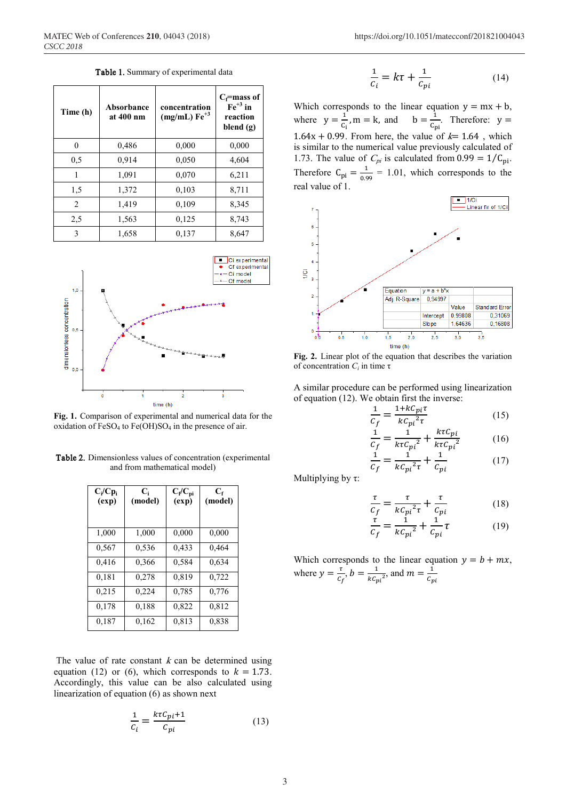Table 1. Summary of experimental data

| Time (h)       | Absorbance<br>at 400 nm | concentration<br>$(mg/mL) Fe+3$ | $C_f$ =mass of<br>$\text{Fe}^{+3}$ in<br>reaction<br>blend $(g)$ |
|----------------|-------------------------|---------------------------------|------------------------------------------------------------------|
| 0              | 0,486                   | 0,000                           | 0,000                                                            |
| 0, 5           | 0.914                   | 0,050                           | 4,604                                                            |
| 1              | 1,091                   | 0,070                           | 6,211                                                            |
| 1,5            | 1,372                   | 0,103                           | 8,711                                                            |
| $\mathfrak{D}$ | 1,419                   | 0,109                           | 8,345                                                            |
| 2,5            | 1,563                   | 0,125                           | 8,743                                                            |
| 3              | 1,658                   | 0,137                           | 8,647                                                            |



**Fig. 1.** Comparison of experimental and numerical data for the oxidation of  $FeSO<sub>4</sub>$  to  $Fe(OH)SO<sub>4</sub>$  in the presence of air.

Table 2. Dimensionless values of concentration (experimental and from mathematical model)

| $C_i/Cp_i$<br>(exp) | $\mathbf{C}_{i}$<br>(model) | $C_f/C_{pi}$<br>(exp) | $C_{\rm f}$<br>(model) |
|---------------------|-----------------------------|-----------------------|------------------------|
| 1,000               | 1,000                       | 0.000                 | 0.000                  |
| 0,567               | 0,536                       | 0,433                 | 0,464                  |
| 0,416               | 0,366                       | 0.584                 | 0,634                  |
| 0,181               | 0,278                       | 0,819                 | 0.722                  |
| 0,215               | 0,224                       | 0.785                 | 0,776                  |
| 0,178               | 0.188                       | 0,822                 | 0.812                  |
| 0,187               | 0,162                       | 0,813                 | 0,838                  |

The value of rate constant  $k$  can be determined using equation (12) or (6), which corresponds to  $k = 1.73$ . Accordingly, this value can be also calculated using linearization of equation (6) as shown next

$$
\frac{1}{c_i} = \frac{k\tau C_{pi} + 1}{c_{pi}}\tag{13}
$$

$$
\frac{1}{c_i} = k\tau + \frac{1}{c_{pi}}\tag{14}
$$

Which corresponds to the linear equation  $y = mx + b$ , where  $y = \frac{1}{c_i}$ ,  $m = k$ , and  $b = \frac{1}{c_{pi}}$ . Therefore:  $y =$ 1.64x + 0.99. From here, the value of  $k=$  1.64, which is similar to the numerical value previously calculated of 1.73. The value of  $C_{pi}$  is calculated from 0.99 =  $1/C_{pi}$ . Therefore  $C_{pi} = \frac{1}{0.99} = 1.01$ , which corresponds to the real value of 1.



**Fig. 2.** Linear plot of the equation that describes the variation of concentration *Ci* in time τ

A similar procedure can be performed using linearization of equation (12). We obtain first the inverse:

$$
\frac{1}{C_f} = \frac{1 + kC_{pi}\tau}{kC_{pi}^2 \tau}
$$
(15)

$$
\frac{1}{c_f} = \frac{1}{k\tau c_{pi}^2} + \frac{k\tau c_{pi}}{k\tau c_{pi}^2}
$$
(16)

 $\frac{1}{a}$  $\frac{1}{c_f} = \frac{1}{kC_{pi}^2 \tau} + \frac{1}{C_p}$ (17)

Multiplying by τ:

$$
\frac{\tau}{c_f} = \frac{\tau}{k c_{pi}^2 \tau} + \frac{\tau}{c_{pi}} \tag{18}
$$

$$
\frac{\tau}{c_f} = \frac{1}{k c_{pi}^2} + \frac{1}{c_{pi}} \tau \tag{19}
$$

Which corresponds to the linear equation  $y = b + mx$ , where  $y = \frac{\tau}{c_f}$ ,  $b = \frac{1}{k c_{pi}^2}$ , and  $m = \frac{1}{c_p}$